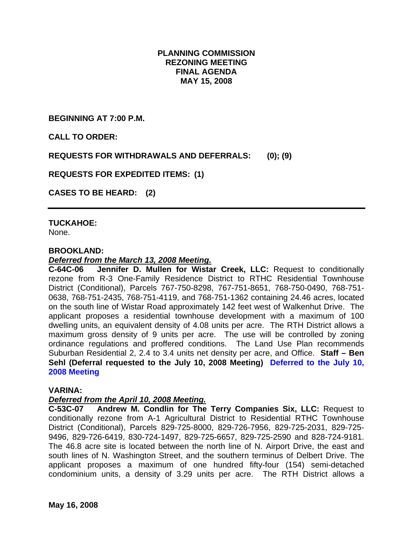## **PLANNING COMMISSION REZONING MEETING FINAL AGENDA MAY 15, 2008**

**BEGINNING AT 7:00 P.M.** 

**CALL TO ORDER:** 

**REQUESTS FOR WITHDRAWALS AND DEFERRALS: (0); (9)** 

**REQUESTS FOR EXPEDITED ITEMS: (1)** 

**CASES TO BE HEARD: (2)** 

### **TUCKAHOE:**

None.

#### **BROOKLAND:**

#### *Deferred from the March 13, 2008 Meeting.*

**C-64C-06 Jennifer D. Mullen for Wistar Creek, LLC:** Request to conditionally rezone from R-3 One-Family Residence District to RTHC Residential Townhouse District (Conditional), Parcels 767-750-8298, 767-751-8651, 768-750-0490, 768-751- 0638, 768-751-2435, 768-751-4119, and 768-751-1362 containing 24.46 acres, located on the south line of Wistar Road approximately 142 feet west of Walkenhut Drive. The applicant proposes a residential townhouse development with a maximum of 100 dwelling units, an equivalent density of 4.08 units per acre. The RTH District allows a maximum gross density of 9 units per acre. The use will be controlled by zoning ordinance regulations and proffered conditions. The Land Use Plan recommends Suburban Residential 2, 2.4 to 3.4 units net density per acre, and Office. **Staff – Ben Sehl (Deferral requested to the July 10, 2008 Meeting) Deferred to the July 10, 2008 Meeting** 

#### **VARINA:**

### *Deferred from the April 10, 2008 Meeting.*

**C-53C-07 Andrew M. Condlin for The Terry Companies Six, LLC:** Request to conditionally rezone from A-1 Agricultural District to Residential RTHC Townhouse District (Conditional), Parcels 829-725-8000, 829-726-7956, 829-725-2031, 829-725- 9496, 829-726-6419, 830-724-1497, 829-725-6657, 829-725-2590 and 828-724-9181. The 46.8 acre site is located between the north line of N. Airport Drive, the east and south lines of N. Washington Street, and the southern terminus of Delbert Drive. The applicant proposes a maximum of one hundred fifty-four (154) semi-detached condominium units, a density of 3.29 units per acre. The RTH District allows a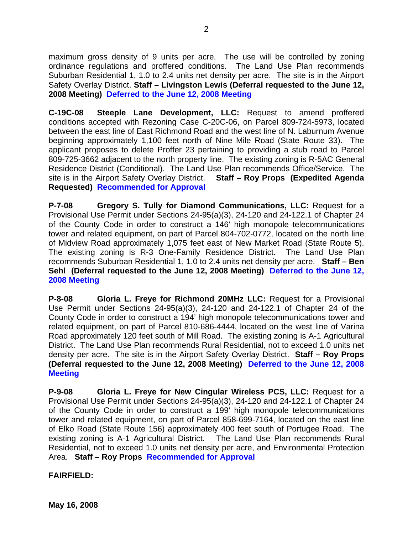maximum gross density of 9 units per acre. The use will be controlled by zoning ordinance regulations and proffered conditions. The Land Use Plan recommends Suburban Residential 1, 1.0 to 2.4 units net density per acre. The site is in the Airport Safety Overlay District. **Staff – Livingston Lewis (Deferral requested to the June 12, 2008 Meeting) Deferred to the June 12, 2008 Meeting**

**C-19C-08 Steeple Lane Development, LLC:** Request to amend proffered conditions accepted with Rezoning Case C-20C-06, on Parcel 809-724-5973, located between the east line of East Richmond Road and the west line of N. Laburnum Avenue beginning approximately 1,100 feet north of Nine Mile Road (State Route 33). The applicant proposes to delete Proffer 23 pertaining to providing a stub road to Parcel 809-725-3662 adjacent to the north property line. The existing zoning is R-5AC General Residence District (Conditional). The Land Use Plan recommends Office/Service. The site is in the Airport Safety Overlay District. **Staff – Roy Props (Expedited Agenda Requested) Recommended for Approval**

**P-7-08 Gregory S. Tully for Diamond Communications, LLC:** Request for a Provisional Use Permit under Sections 24-95(a)(3), 24-120 and 24-122.1 of Chapter 24 of the County Code in order to construct a 146' high monopole telecommunications tower and related equipment, on part of Parcel 804-702-0772, located on the north line of Midview Road approximately 1,075 feet east of New Market Road (State Route 5). The existing zoning is R-3 One-Family Residence District. The Land Use Plan recommends Suburban Residential 1, 1.0 to 2.4 units net density per acre. **Staff – Ben Sehl (Deferral requested to the June 12, 2008 Meeting) Deferred to the June 12, 2008 Meeting** 

**P-8-08 Gloria L. Freye for Richmond 20MHz LLC:** Request for a Provisional Use Permit under Sections 24-95(a)(3), 24-120 and 24-122.1 of Chapter 24 of the County Code in order to construct a 194' high monopole telecommunications tower and related equipment, on part of Parcel 810-686-4444, located on the west line of Varina Road approximately 120 feet south of Mill Road. The existing zoning is A-1 Agricultural District. The Land Use Plan recommends Rural Residential, not to exceed 1.0 units net density per acre. The site is in the Airport Safety Overlay District. **Staff – Roy Props (Deferral requested to the June 12, 2008 Meeting) Deferred to the June 12, 2008 Meeting** 

**P-9-08 Gloria L. Freye for New Cingular Wireless PCS, LLC:** Request for a Provisional Use Permit under Sections 24-95(a)(3), 24-120 and 24-122.1 of Chapter 24 of the County Code in order to construct a 199' high monopole telecommunications tower and related equipment, on part of Parcel 858-699-7164, located on the east line of Elko Road (State Route 156) approximately 400 feet south of Portugee Road. The existing zoning is A-1 Agricultural District. The Land Use Plan recommends Rural Residential, not to exceed 1.0 units net density per acre, and Environmental Protection Area. **Staff – Roy Props Recommended for Approval** 

**FAIRFIELD:**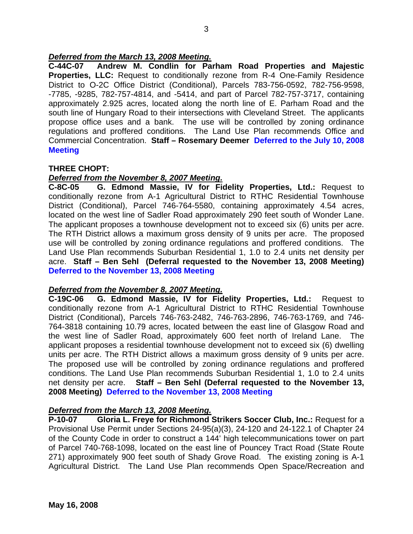## *Deferred from the March 13, 2008 Meeting.*

**C-44C-07 Andrew M. Condlin for Parham Road Properties and Majestic Properties, LLC:** Request to conditionally rezone from R-4 One-Family Residence District to O-2C Office District (Conditional), Parcels 783-756-0592, 782-756-9598, -7785, -9285, 782-757-4814, and -5414, and part of Parcel 782-757-3717, containing approximately 2.925 acres, located along the north line of E. Parham Road and the south line of Hungary Road to their intersections with Cleveland Street. The applicants propose office uses and a bank. The use will be controlled by zoning ordinance regulations and proffered conditions. The Land Use Plan recommends Office and Commercial Concentration. **Staff – Rosemary Deemer Deferred to the July 10, 2008 Meeting**

### **THREE CHOPT:**

### *Deferred from the November 8, 2007 Meeting.*

**C-8C-05 G. Edmond Massie, IV for Fidelity Properties, Ltd.:** Request to conditionally rezone from A-1 Agricultural District to RTHC Residential Townhouse District (Conditional), Parcel 746-764-5580, containing approximately 4.54 acres, located on the west line of Sadler Road approximately 290 feet south of Wonder Lane. The applicant proposes a townhouse development not to exceed six (6) units per acre. The RTH District allows a maximum gross density of 9 units per acre. The proposed use will be controlled by zoning ordinance regulations and proffered conditions. The Land Use Plan recommends Suburban Residential 1, 1.0 to 2.4 units net density per acre. **Staff – Ben Sehl (Deferral requested to the November 13, 2008 Meeting) Deferred to the November 13, 2008 Meeting**

### *Deferred from the November 8, 2007 Meeting.*

**C-19C-06 G. Edmond Massie, IV for Fidelity Properties, Ltd.:** Request to conditionally rezone from A-1 Agricultural District to RTHC Residential Townhouse District (Conditional), Parcels 746-763-2482, 746-763-2896, 746-763-1769, and 746- 764-3818 containing 10.79 acres, located between the east line of Glasgow Road and the west line of Sadler Road, approximately 600 feet north of Ireland Lane. The applicant proposes a residential townhouse development not to exceed six (6) dwelling units per acre. The RTH District allows a maximum gross density of 9 units per acre. The proposed use will be controlled by zoning ordinance regulations and proffered conditions. The Land Use Plan recommends Suburban Residential 1, 1.0 to 2.4 units net density per acre. **Staff – Ben Sehl (Deferral requested to the November 13, 2008 Meeting) Deferred to the November 13, 2008 Meeting**

### *Deferred from the March 13, 2008 Meeting.*

**P-10-07 Gloria L. Freye for Richmond Strikers Soccer Club, Inc.:** Request for a Provisional Use Permit under Sections 24-95(a)(3), 24-120 and 24-122.1 of Chapter 24 of the County Code in order to construct a 144' high telecommunications tower on part of Parcel 740-768-1098, located on the east line of Pouncey Tract Road (State Route 271) approximately 900 feet south of Shady Grove Road. The existing zoning is A-1 Agricultural District. The Land Use Plan recommends Open Space/Recreation and